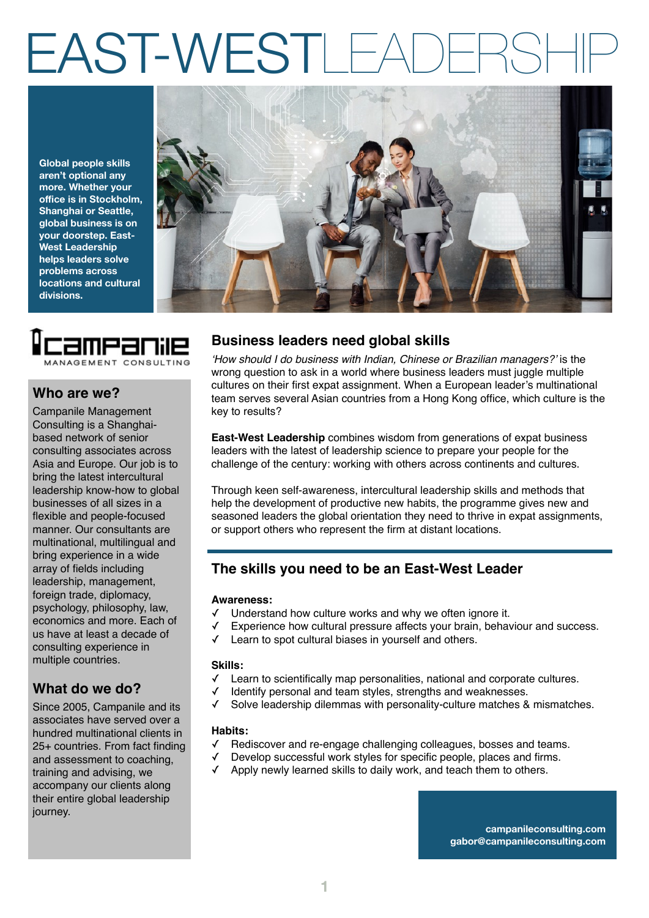## EAST-WESTL

**Global people skills aren't optional any more. Whether your office is in Stockholm, Shanghai or Seattle, global business is on your doorstep. East-West Leadership helps leaders solve problems across locations and cultural divisions.**





#### **Who are we?**

Campanile Management Consulting is a Shanghaibased network of senior consulting associates across Asia and Europe. Our job is to bring the latest intercultural leadership know-how to global businesses of all sizes in a flexible and people-focused manner. Our consultants are multinational, multilingual and bring experience in a wide array of fields including leadership, management, foreign trade, diplomacy, psychology, philosophy, law, economics and more. Each of us have at least a decade of consulting experience in multiple countries.

## **What do we do?**

Since 2005, Campanile and its associates have served over a hundred multinational clients in 25+ countries. From fact finding and assessment to coaching, training and advising, we accompany our clients along their entire global leadership journey.

## **Business leaders need global skills**

*'How should I do business with Indian, Chinese or Brazilian managers?'* is the wrong question to ask in a world where business leaders must juggle multiple cultures on their first expat assignment. When a European leader's multinational team serves several Asian countries from a Hong Kong office, which culture is the key to results?

**East-West Leadership** combines wisdom from generations of expat business leaders with the latest of leadership science to prepare your people for the challenge of the century: working with others across continents and cultures.

Through keen self-awareness, intercultural leadership skills and methods that help the development of productive new habits, the programme gives new and seasoned leaders the global orientation they need to thrive in expat assignments, or support others who represent the firm at distant locations.

## **The skills you need to be an East-West Leader**

#### **Awareness:**

- Understand how culture works and why we often ignore it.
- Experience how cultural pressure affects your brain, behaviour and success.
- Learn to spot cultural biases in yourself and others.

#### **Skills:**

- ✓ Learn to scientifically map personalities, national and corporate cultures.
- Identify personal and team styles, strengths and weaknesses.
- Solve leadership dilemmas with personality-culture matches & mismatches.

#### **Habits:**

- Rediscover and re-engage challenging colleagues, bosses and teams.
- ✓ Develop successful work styles for specific people, places and firms.
- ✓ Apply newly learned skills to daily work, and teach them to others.

**campanileconsulting.com gabor@campanileconsulting.com**